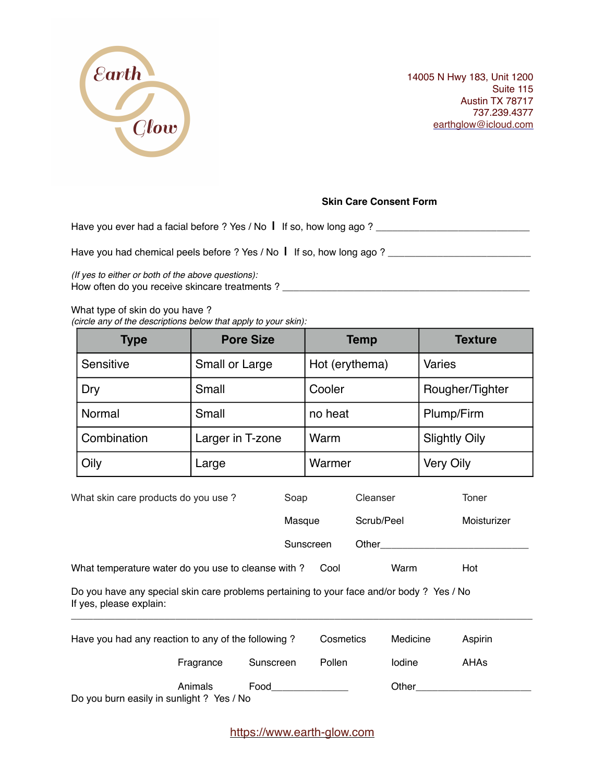

14005 N Hwy 183, Unit 1200 Suite 115 Austin TX 78717 737.239.4377 [earthglow@icloud.com](mailto:earthglow@icloud.com)

## **Skin Care Consent Form**

Have you ever had a facial before ? Yes / No **|** If so, how long ago ? \_\_\_\_\_\_\_\_\_\_\_\_\_\_\_\_\_\_\_\_\_\_\_\_\_\_\_\_

Have you had chemical peels before ? Yes / No | If so, how long ago ? \_\_\_\_\_\_\_\_\_\_\_\_\_\_\_\_\_\_\_\_\_\_\_\_\_\_\_\_\_\_

*(If yes to either or both of the above questions):* How often do you receive skincare treatments ? \_\_\_\_\_\_\_\_\_\_\_\_\_\_\_\_\_\_\_\_\_\_\_\_\_\_\_\_\_\_\_\_\_\_\_\_\_\_\_\_\_\_\_\_\_

## What type of skin do you have ?

*(circle any of the descriptions below that apply to your skin):*

| <b>Type</b> | <b>Pore Size</b> | <b>Temp</b>    | <b>Texture</b>       |
|-------------|------------------|----------------|----------------------|
| Sensitive   | Small or Large   | Hot (erythema) | <b>Varies</b>        |
| Dry         | Small            | Cooler         | Rougher/Tighter      |
| Normal      | Small            | no heat        | Plump/Firm           |
| Combination | Larger in T-zone | Warm           | <b>Slightly Oily</b> |
| Oily        | Large            | Warmer         | <b>Very Oily</b>     |

| What skin care products do you use ?                                                                                 | Soap      |            | Toner       |  |
|----------------------------------------------------------------------------------------------------------------------|-----------|------------|-------------|--|
|                                                                                                                      | Masque    | Scrub/Peel | Moisturizer |  |
|                                                                                                                      | Sunscreen | Other      |             |  |
| What temperature water do you use to cleanse with?                                                                   | Cool      | Warm       | Hot         |  |
| Do you have any special skin care problems pertaining to your face and/or body ? Yes / No<br>If yes, please explain: |           |            |             |  |

| Have you had any reaction to any of the following? |           | Cosmetics | Medicine | Aspirin |
|----------------------------------------------------|-----------|-----------|----------|---------|
| Fragrance                                          | Sunscreen | Pollen    | lodine   | AHAs    |
| Animals                                            | Food      |           | Other    |         |

Do you burn easily in sunlight ? Yes / No

<https://www.earth-glow.com>